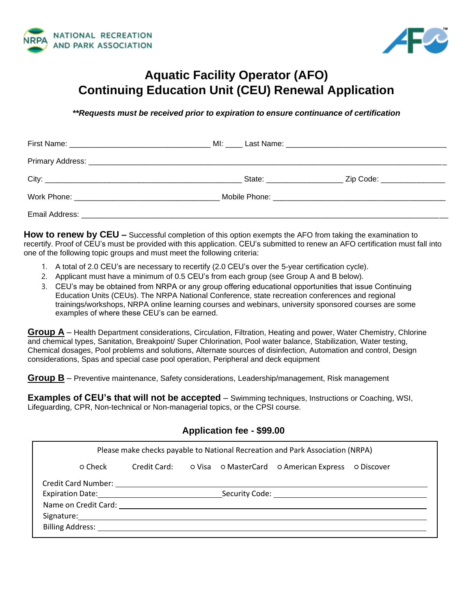



# **Aquatic Facility Operator (AFO) Continuing Education Unit (CEU) Renewal Application**

*\*\*Requests must be received prior to expiration to ensure continuance of certification*

|                                                                                                                                                                                                                                | State: <u>www.community.com</u> | _ Zip Code: _________________ |  |
|--------------------------------------------------------------------------------------------------------------------------------------------------------------------------------------------------------------------------------|---------------------------------|-------------------------------|--|
| Work Phone: The Contract of the Contract of the Contract of the Contract of the Contract of the Contract of the Contract of the Contract of the Contract of the Contract of the Contract of the Contract of the Contract of th |                                 |                               |  |
|                                                                                                                                                                                                                                |                                 |                               |  |

**How to renew by CEU** – Successful completion of this option exempts the AFO from taking the examination to recertify. Proof of CEU's must be provided with this application. CEU's submitted to renew an AFO certification must fall into one of the following topic groups and must meet the following criteria:

- 1. A total of 2.0 CEU's are necessary to recertify (2.0 CEU's over the 5-year certification cycle).
- 2. Applicant must have a minimum of 0.5 CEU's from each group (see Group A and B below).
- 3. CEU's may be obtained from NRPA or any group offering educational opportunities that issue Continuing Education Units (CEUs). The NRPA National Conference, state recreation conferences and regional trainings/workshops, NRPA online learning courses and webinars, university sponsored courses are some examples of where these CEU's can be earned.

**Group A** – Health Department considerations, Circulation, Filtration, Heating and power, Water Chemistry, Chlorine and chemical types, Sanitation, Breakpoint/ Super Chlorination, Pool water balance, Stabilization, Water testing, Chemical dosages, Pool problems and solutions, Alternate sources of disinfection, Automation and control, Design considerations, Spas and special case pool operation, Peripheral and deck equipment

**Group B** – Preventive maintenance, Safety considerations, Leadership/management, Risk management

**Examples of CEU's that will not be accepted** – Swimming techniques, Instructions or Coaching, WSI, Lifeguarding, CPR, Non-technical or Non-managerial topics, or the CPSI course.

| Application fee - \$99.00            |  |  |  |                                                                               |  |
|--------------------------------------|--|--|--|-------------------------------------------------------------------------------|--|
|                                      |  |  |  | Please make checks payable to National Recreation and Park Association (NRPA) |  |
| o Check                              |  |  |  | Credit Card: O Visa O MasterCard O American Express O Discover                |  |
|                                      |  |  |  |                                                                               |  |
|                                      |  |  |  |                                                                               |  |
|                                      |  |  |  |                                                                               |  |
|                                      |  |  |  |                                                                               |  |
| <b>Billing Address: Example 2018</b> |  |  |  |                                                                               |  |
|                                      |  |  |  |                                                                               |  |

#### **Application fee - \$99.00**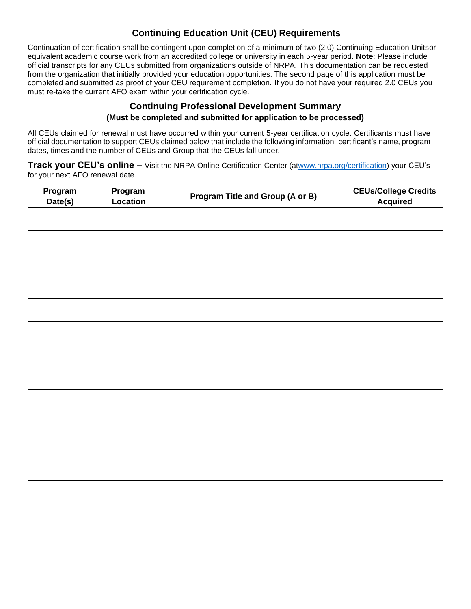## **Continuing Education Unit (CEU) Requirements**

Continuation of certification shall be contingent upon completion of a minimum of two (2.0) Continuing Education Unitsor equivalent academic course work from an accredited college or university in each 5-year period. **Note**: Please include official transcripts for any CEUs submitted from organizations outside of NRPA. This documentation can be requested from the organization that initially provided your education opportunities. The second page of this application must be completed and submitted as proof of your CEU requirement completion. If you do not have your required 2.0 CEUs you must re-take the current AFO exam within your certification cycle.

#### **Continuing Professional Development Summary (Must be completed and submitted for application to be processed)**

All CEUs claimed for renewal must have occurred within your current 5-year certification cycle. Certificants must have official documentation to support CEUs claimed below that include the following information: certificant's name, program dates, times and the number of CEUs and Group that the CEUs fall under.

**Track your CEU's online** – Visit the NRPA Online Certification Center (a[twww.nrpa.org/certification\)](http://www.nrpa.org/certification) your CEU's for your next AFO renewal date.

| Program<br>Date(s) | Program<br>Location | Program Title and Group (A or B) | <b>CEUs/College Credits</b><br><b>Acquired</b> |
|--------------------|---------------------|----------------------------------|------------------------------------------------|
|                    |                     |                                  |                                                |
|                    |                     |                                  |                                                |
|                    |                     |                                  |                                                |
|                    |                     |                                  |                                                |
|                    |                     |                                  |                                                |
|                    |                     |                                  |                                                |
|                    |                     |                                  |                                                |
|                    |                     |                                  |                                                |
|                    |                     |                                  |                                                |
|                    |                     |                                  |                                                |
|                    |                     |                                  |                                                |
|                    |                     |                                  |                                                |
|                    |                     |                                  |                                                |
|                    |                     |                                  |                                                |
|                    |                     |                                  |                                                |